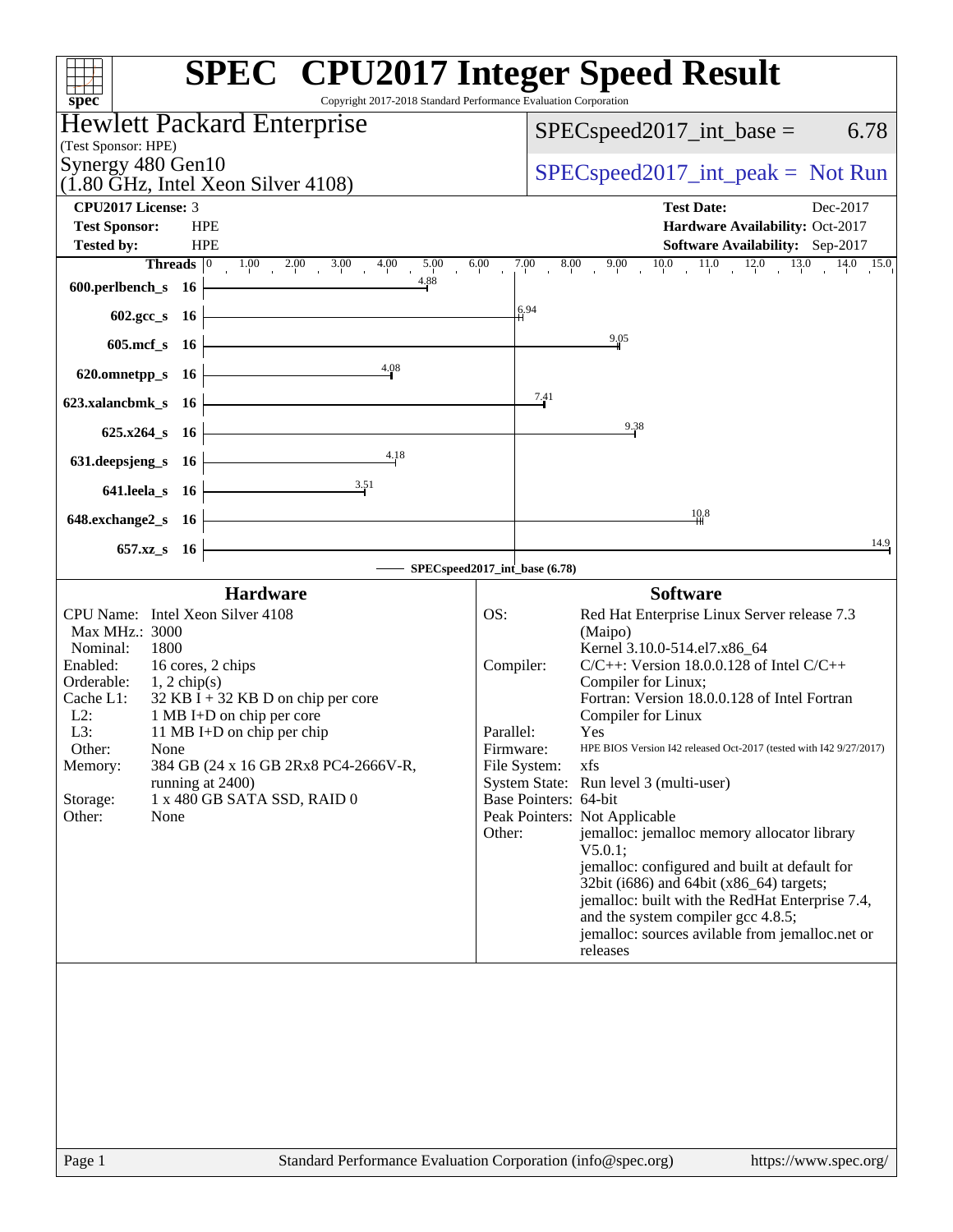| Copyright 2017-2018 Standard Performance Evaluation Corporation<br>spec <sup>®</sup>                                     | <b>SPEC<sup>®</sup></b> CPU2017 Integer Speed Result                                                                                             |
|--------------------------------------------------------------------------------------------------------------------------|--------------------------------------------------------------------------------------------------------------------------------------------------|
| <b>Hewlett Packard Enterprise</b>                                                                                        |                                                                                                                                                  |
| (Test Sponsor: HPE)                                                                                                      | $SPEC speed2017\_int\_base =$<br>6.78                                                                                                            |
| Synergy 480 Gen10                                                                                                        |                                                                                                                                                  |
| $(1.80 \text{ GHz}, \text{Intel Xeon Silver } 4108)$                                                                     | $SPEC speed2017\_int\_peak = Not Run$                                                                                                            |
| <b>CPU2017 License: 3</b>                                                                                                | <b>Test Date:</b><br>Dec-2017                                                                                                                    |
| <b>Test Sponsor:</b><br><b>HPE</b>                                                                                       | Hardware Availability: Oct-2017                                                                                                                  |
| <b>Tested by:</b><br><b>HPE</b><br>6.00                                                                                  | Software Availability: Sep-2017<br>$\begin{array}{ccccccccc} 7.00 & 8.00 & 9.00 & 10.0 & 11.0 & 12.0 & 13.0 & 14.0 & 15.0 \\ \hline \end{array}$ |
| <b>Threads</b> $\begin{array}{ccc ccc} 0 & 1.00 & 2.00 & 3.00 & 4.00 & 5.00 \end{array}$<br>4.88<br>600.perlbench_s $16$ |                                                                                                                                                  |
| <u> 1989 - Johann Barbara, martxa alemaniar a</u>                                                                        | 6.94                                                                                                                                             |
| 602.gcc_s 16                                                                                                             |                                                                                                                                                  |
| 605.mcf_s 16                                                                                                             | 9,05                                                                                                                                             |
| 4.08<br>620.omnetpp_s $16$                                                                                               |                                                                                                                                                  |
| 623.xalancbmk_s 16                                                                                                       | 7.41                                                                                                                                             |
|                                                                                                                          |                                                                                                                                                  |
| $625.x264_s$ 16                                                                                                          | 9.38                                                                                                                                             |
| 4.18<br>631.deepsjeng_s 16                                                                                               |                                                                                                                                                  |
| 3.51<br>641.leela_s 16                                                                                                   |                                                                                                                                                  |
| the control of the control of the control of the control of the control of<br>648.exchange2_s 16                         | 10,8                                                                                                                                             |
|                                                                                                                          | 14.9                                                                                                                                             |
| 657.xz_s 16                                                                                                              | SPECspeed2017_int_base (6.78)                                                                                                                    |
| <b>Hardware</b>                                                                                                          | <b>Software</b>                                                                                                                                  |
| CPU Name: Intel Xeon Silver 4108                                                                                         | Red Hat Enterprise Linux Server release 7.3<br>OS:                                                                                               |
| Max MHz.: 3000                                                                                                           | (Maipo)                                                                                                                                          |
| Nominal:<br>1800<br>Enabled:<br>16 cores, 2 chips                                                                        | Kernel 3.10.0-514.el7.x86_64<br>$C/C++$ : Version 18.0.0.128 of Intel $C/C++$<br>Compiler:                                                       |
| Orderable:<br>$1, 2 \text{ chip}(s)$                                                                                     | Compiler for Linux;                                                                                                                              |
| Cache L1:<br>$32$ KB I + 32 KB D on chip per core                                                                        | Fortran: Version 18.0.0.128 of Intel Fortran                                                                                                     |
| $L2$ :<br>1 MB I+D on chip per core<br>L3:<br>11 MB I+D on chip per chip                                                 | Compiler for Linux<br>Parallel:<br>Yes                                                                                                           |
| Other:<br>None                                                                                                           | Firmware:<br>HPE BIOS Version I42 released Oct-2017 (tested with I42 9/27/2017)                                                                  |
| 384 GB (24 x 16 GB 2Rx8 PC4-2666V-R,<br>Memory:                                                                          | File System:<br>xfs                                                                                                                              |
| running at 2400)<br>1 x 480 GB SATA SSD, RAID 0<br>Storage:                                                              | System State: Run level 3 (multi-user)<br>Base Pointers: 64-bit                                                                                  |
| Other:<br>None                                                                                                           | Peak Pointers: Not Applicable                                                                                                                    |
|                                                                                                                          | jemalloc: jemalloc memory allocator library<br>Other:                                                                                            |
|                                                                                                                          | V5.0.1;<br>jemalloc: configured and built at default for                                                                                         |
|                                                                                                                          | 32bit (i686) and 64bit (x86_64) targets;                                                                                                         |
|                                                                                                                          | jemalloc: built with the RedHat Enterprise 7.4,                                                                                                  |
|                                                                                                                          | and the system compiler gcc 4.8.5;<br>jemalloc: sources avilable from jemalloc.net or                                                            |
|                                                                                                                          | releases                                                                                                                                         |
|                                                                                                                          |                                                                                                                                                  |
|                                                                                                                          |                                                                                                                                                  |
|                                                                                                                          |                                                                                                                                                  |
|                                                                                                                          |                                                                                                                                                  |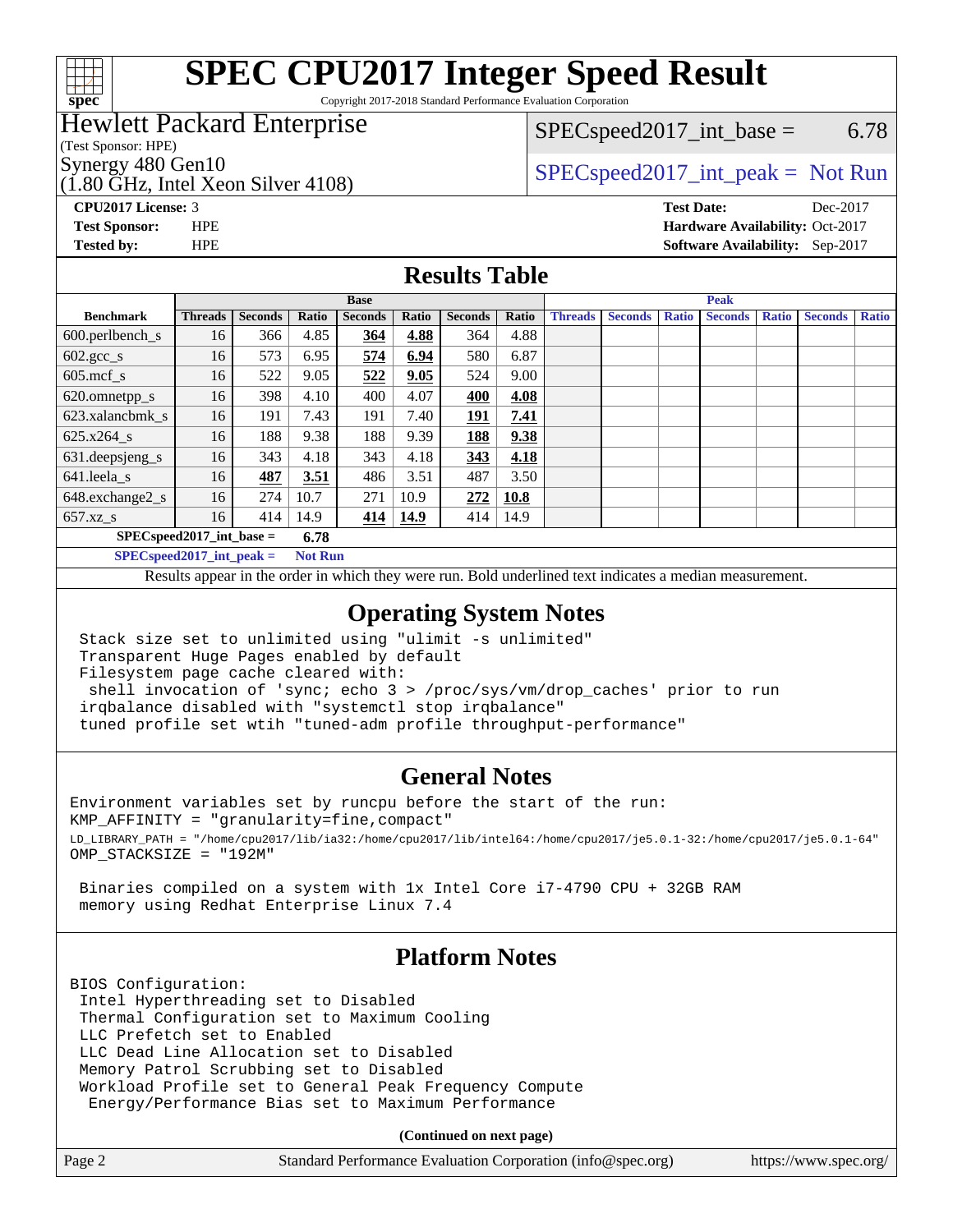

# **[SPEC CPU2017 Integer Speed Result](http://www.spec.org/auto/cpu2017/Docs/result-fields.html#SPECCPU2017IntegerSpeedResult)**

Copyright 2017-2018 Standard Performance Evaluation Corporation

## Hewlett Packard Enterprise

(Test Sponsor: HPE)

(1.80 GHz, Intel Xeon Silver 4108)

 $SPEC speed2017\_int\_base = 6.78$ 

Synergy 480 Gen10<br>  $SPEC speed2017\_int\_peak = Not Run$ 

**[Tested by:](http://www.spec.org/auto/cpu2017/Docs/result-fields.html#Testedby)** HPE **[Software Availability:](http://www.spec.org/auto/cpu2017/Docs/result-fields.html#SoftwareAvailability)** Sep-2017

**[CPU2017 License:](http://www.spec.org/auto/cpu2017/Docs/result-fields.html#CPU2017License)** 3 **[Test Date:](http://www.spec.org/auto/cpu2017/Docs/result-fields.html#TestDate)** Dec-2017 **[Test Sponsor:](http://www.spec.org/auto/cpu2017/Docs/result-fields.html#TestSponsor)** HPE **[Hardware Availability:](http://www.spec.org/auto/cpu2017/Docs/result-fields.html#HardwareAvailability)** Oct-2017

### **[Results Table](http://www.spec.org/auto/cpu2017/Docs/result-fields.html#ResultsTable)**

|                                      | <b>Base</b>    |                |       |                |       | <b>Peak</b>    |       |                |                |              |                |              |                |              |
|--------------------------------------|----------------|----------------|-------|----------------|-------|----------------|-------|----------------|----------------|--------------|----------------|--------------|----------------|--------------|
| <b>Benchmark</b>                     | <b>Threads</b> | <b>Seconds</b> | Ratio | <b>Seconds</b> | Ratio | <b>Seconds</b> | Ratio | <b>Threads</b> | <b>Seconds</b> | <b>Ratio</b> | <b>Seconds</b> | <b>Ratio</b> | <b>Seconds</b> | <b>Ratio</b> |
| $600.$ perlbench_s                   | 16             | 366            | 4.85  | <u>364</u>     | 4.88  | 364            | 4.88  |                |                |              |                |              |                |              |
| $602 \text{.} \text{gcc}\text{_<}$ s | 16             | 573            | 6.95  | 574            | 6.94  | 580            | 6.87  |                |                |              |                |              |                |              |
| $605$ .mcf s                         | 16             | 522            | 9.05  | 522            | 9.05  | 524            | 9.00  |                |                |              |                |              |                |              |
| 620.omnetpp_s                        | 16             | 398            | 4.10  | 400            | 4.07  | 400            | 4.08  |                |                |              |                |              |                |              |
| 623.xalancbmk s                      | 16             | 191            | 7.43  | 191            | 7.40  | <u> 191</u>    | 7.41  |                |                |              |                |              |                |              |
| $625.x264_s$                         | 16             | 188            | 9.38  | 188            | 9.39  | 188            | 9.38  |                |                |              |                |              |                |              |
| 631.deepsjeng_s                      | 16             | 343            | 4.18  | 343            | 4.18  | 343            | 4.18  |                |                |              |                |              |                |              |
| 641.leela s                          | 16             | 487            | 3.51  | 486            | 3.51  | 487            | 3.50  |                |                |              |                |              |                |              |
| 648.exchange2_s                      | 16             | 274            | 10.7  | 271            | 10.9  | 272            | 10.8  |                |                |              |                |              |                |              |
| $657.xz$ s                           | 16             | 414            | 14.9  | 414            | 14.9  | 414            | 14.9  |                |                |              |                |              |                |              |
| $SPECspeed2017$ int base =<br>6.78   |                |                |       |                |       |                |       |                |                |              |                |              |                |              |

**[SPECspeed2017\\_int\\_peak =](http://www.spec.org/auto/cpu2017/Docs/result-fields.html#SPECspeed2017intpeak) Not Run**

Results appear in the [order in which they were run.](http://www.spec.org/auto/cpu2017/Docs/result-fields.html#RunOrder) Bold underlined text [indicates a median measurement.](http://www.spec.org/auto/cpu2017/Docs/result-fields.html#Median)

#### **[Operating System Notes](http://www.spec.org/auto/cpu2017/Docs/result-fields.html#OperatingSystemNotes)**

 Stack size set to unlimited using "ulimit -s unlimited" Transparent Huge Pages enabled by default Filesystem page cache cleared with: shell invocation of 'sync; echo 3 > /proc/sys/vm/drop\_caches' prior to run irqbalance disabled with "systemctl stop irqbalance"

tuned profile set wtih "tuned-adm profile throughput-performance"

#### **[General Notes](http://www.spec.org/auto/cpu2017/Docs/result-fields.html#GeneralNotes)**

Environment variables set by runcpu before the start of the run: KMP\_AFFINITY = "granularity=fine,compact" LD\_LIBRARY\_PATH = "/home/cpu2017/lib/ia32:/home/cpu2017/lib/intel64:/home/cpu2017/je5.0.1-32:/home/cpu2017/je5.0.1-64" OMP\_STACKSIZE = "192M"

 Binaries compiled on a system with 1x Intel Core i7-4790 CPU + 32GB RAM memory using Redhat Enterprise Linux 7.4

### **[Platform Notes](http://www.spec.org/auto/cpu2017/Docs/result-fields.html#PlatformNotes)**

BIOS Configuration: Intel Hyperthreading set to Disabled Thermal Configuration set to Maximum Cooling LLC Prefetch set to Enabled LLC Dead Line Allocation set to Disabled Memory Patrol Scrubbing set to Disabled Workload Profile set to General Peak Frequency Compute Energy/Performance Bias set to Maximum Performance

**(Continued on next page)**

| Page 2<br>Standard Performance Evaluation Corporation (info@spec.org) | https://www.spec.org/ |
|-----------------------------------------------------------------------|-----------------------|
|-----------------------------------------------------------------------|-----------------------|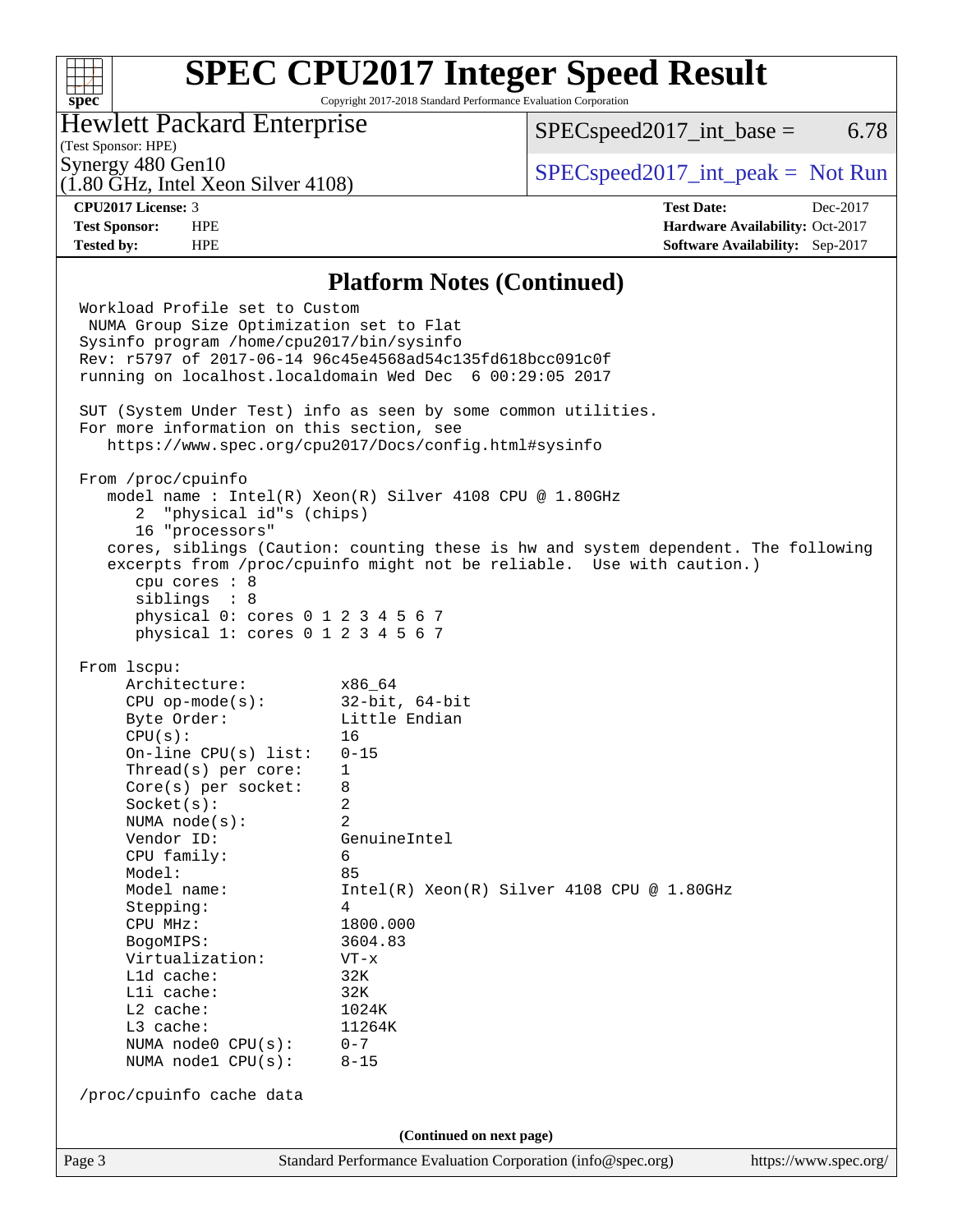### $+\!\!+\!\!$ **[spec](http://www.spec.org/)**

# **[SPEC CPU2017 Integer Speed Result](http://www.spec.org/auto/cpu2017/Docs/result-fields.html#SPECCPU2017IntegerSpeedResult)**

Copyright 2017-2018 Standard Performance Evaluation Corporation

## Hewlett Packard Enterprise

 $SPEC speed2017\_int\_base = 6.78$ 

# (Test Sponsor: HPE)

(1.80 GHz, Intel Xeon Silver 4108)

Synergy 480 Gen10<br>  $SPEC speed2017\_int\_peak = Not Run$ 

**[Tested by:](http://www.spec.org/auto/cpu2017/Docs/result-fields.html#Testedby)** HPE **[Software Availability:](http://www.spec.org/auto/cpu2017/Docs/result-fields.html#SoftwareAvailability)** Sep-2017

**[CPU2017 License:](http://www.spec.org/auto/cpu2017/Docs/result-fields.html#CPU2017License)** 3 **[Test Date:](http://www.spec.org/auto/cpu2017/Docs/result-fields.html#TestDate)** Dec-2017 **[Test Sponsor:](http://www.spec.org/auto/cpu2017/Docs/result-fields.html#TestSponsor)** HPE **[Hardware Availability:](http://www.spec.org/auto/cpu2017/Docs/result-fields.html#HardwareAvailability)** Oct-2017

#### **[Platform Notes \(Continued\)](http://www.spec.org/auto/cpu2017/Docs/result-fields.html#PlatformNotes)**

Page 3 Standard Performance Evaluation Corporation [\(info@spec.org\)](mailto:info@spec.org) <https://www.spec.org/> Workload Profile set to Custom NUMA Group Size Optimization set to Flat Sysinfo program /home/cpu2017/bin/sysinfo Rev: r5797 of 2017-06-14 96c45e4568ad54c135fd618bcc091c0f running on localhost.localdomain Wed Dec 6 00:29:05 2017 SUT (System Under Test) info as seen by some common utilities. For more information on this section, see <https://www.spec.org/cpu2017/Docs/config.html#sysinfo> From /proc/cpuinfo model name : Intel(R) Xeon(R) Silver 4108 CPU @ 1.80GHz 2 "physical id"s (chips) 16 "processors" cores, siblings (Caution: counting these is hw and system dependent. The following excerpts from /proc/cpuinfo might not be reliable. Use with caution.) cpu cores : 8 siblings : 8 physical 0: cores 0 1 2 3 4 5 6 7 physical 1: cores 0 1 2 3 4 5 6 7 From lscpu: Architecture: x86\_64 CPU op-mode(s): 32-bit, 64-bit Byte Order: Little Endian CPU(s): 16 On-line CPU(s) list: 0-15 Thread(s) per core: 1 Core(s) per socket: 8 Socket(s): 2 NUMA node(s): 2 Vendor ID: GenuineIntel CPU family: 6 Model: 85 Model name: Intel(R) Xeon(R) Silver 4108 CPU @ 1.80GHz Stepping: 4 CPU MHz: 1800.000 BogoMIPS: 3604.83 Virtualization: VT-x L1d cache: 32K L1i cache: 32K L2 cache: 1024K<br>
L3 cache: 11264K  $L3$  cache: NUMA node0 CPU(s): 0-7 NUMA node1 CPU(s): 8-15 /proc/cpuinfo cache data **(Continued on next page)**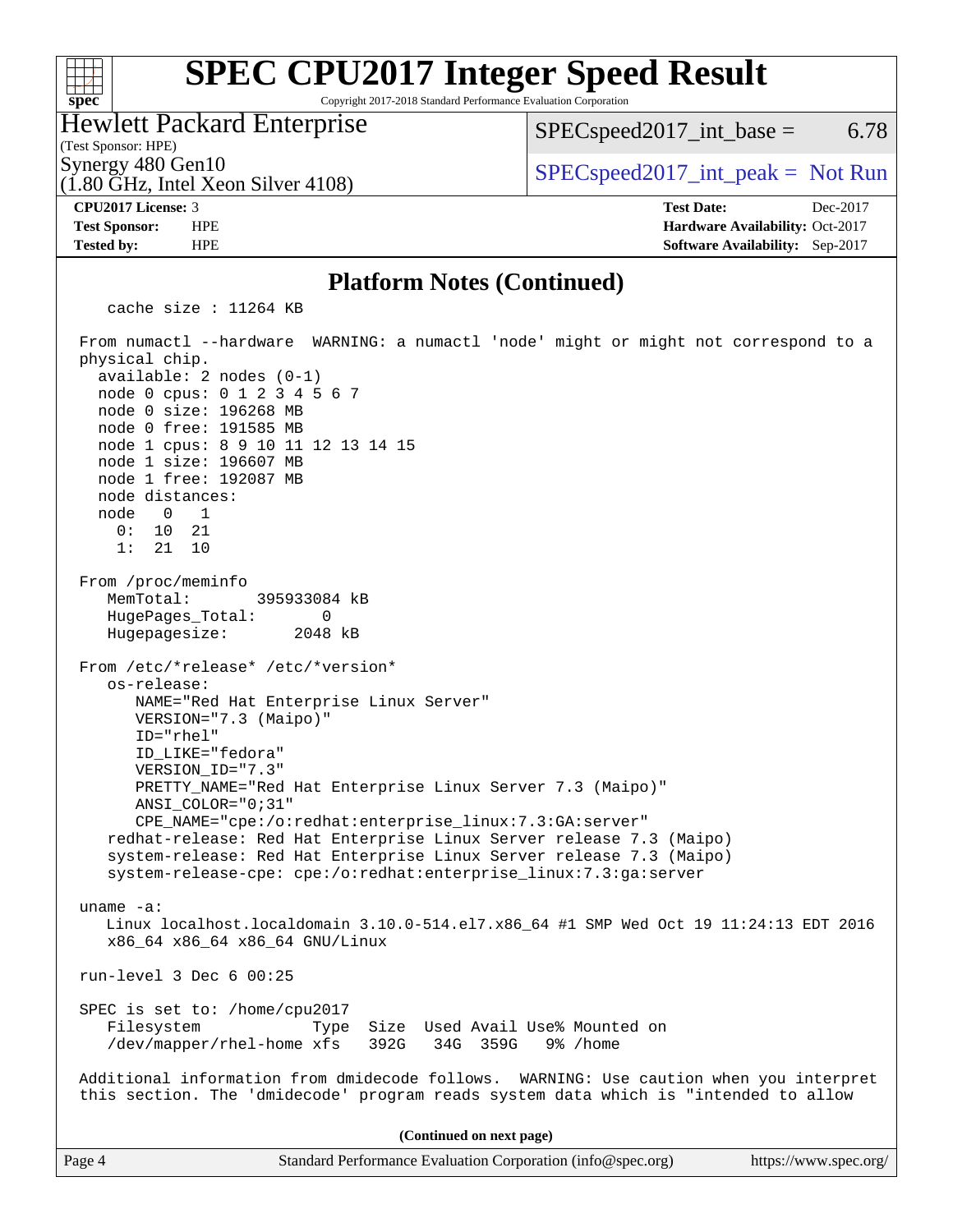# **[SPEC CPU2017 Integer Speed Result](http://www.spec.org/auto/cpu2017/Docs/result-fields.html#SPECCPU2017IntegerSpeedResult)**

Copyright 2017-2018 Standard Performance Evaluation Corporation

Hewlett Packard Enterprise

(1.80 GHz, Intel Xeon Silver 4108)

 $SPEC speed2017\_int\_base = 6.78$ 

(Test Sponsor: HPE)

 $\begin{array}{c|c|c|c|c} \text{Synergy 480 Gen10} & \text{SPECspeed2017\_int\_peak} = \text{Not Run} \end{array}$ 

**[spec](http://www.spec.org/)**

 $+\ +$ 

**[CPU2017 License:](http://www.spec.org/auto/cpu2017/Docs/result-fields.html#CPU2017License)** 3 **[Test Date:](http://www.spec.org/auto/cpu2017/Docs/result-fields.html#TestDate)** Dec-2017 **[Test Sponsor:](http://www.spec.org/auto/cpu2017/Docs/result-fields.html#TestSponsor)** HPE **[Hardware Availability:](http://www.spec.org/auto/cpu2017/Docs/result-fields.html#HardwareAvailability)** Oct-2017 **[Tested by:](http://www.spec.org/auto/cpu2017/Docs/result-fields.html#Testedby)** HPE **[Software Availability:](http://www.spec.org/auto/cpu2017/Docs/result-fields.html#SoftwareAvailability)** Sep-2017

### **[Platform Notes \(Continued\)](http://www.spec.org/auto/cpu2017/Docs/result-fields.html#PlatformNotes)**

cache size : 11264 KB

 From numactl --hardware WARNING: a numactl 'node' might or might not correspond to a physical chip. available: 2 nodes (0-1) node 0 cpus: 0 1 2 3 4 5 6 7 node 0 size: 196268 MB node 0 free: 191585 MB node 1 cpus: 8 9 10 11 12 13 14 15 node 1 size: 196607 MB node 1 free: 192087 MB node distances: node 0 1 0: 10 21 1: 21 10 From /proc/meminfo MemTotal: 395933084 kB HugePages\_Total: 0 Hugepagesize: 2048 kB From /etc/\*release\* /etc/\*version\* os-release: NAME="Red Hat Enterprise Linux Server" VERSION="7.3 (Maipo)" ID="rhel" ID\_LIKE="fedora" VERSION\_ID="7.3" PRETTY\_NAME="Red Hat Enterprise Linux Server 7.3 (Maipo)" ANSI\_COLOR="0;31" CPE\_NAME="cpe:/o:redhat:enterprise\_linux:7.3:GA:server" redhat-release: Red Hat Enterprise Linux Server release 7.3 (Maipo) system-release: Red Hat Enterprise Linux Server release 7.3 (Maipo) system-release-cpe: cpe:/o:redhat:enterprise\_linux:7.3:ga:server uname -a: Linux localhost.localdomain 3.10.0-514.el7.x86\_64 #1 SMP Wed Oct 19 11:24:13 EDT 2016 x86\_64 x86\_64 x86\_64 GNU/Linux run-level 3 Dec 6 00:25 SPEC is set to: /home/cpu2017 Filesystem Type Size Used Avail Use% Mounted on /dev/mapper/rhel-home xfs 392G 34G 359G 9% /home Additional information from dmidecode follows. WARNING: Use caution when you interpret this section. The 'dmidecode' program reads system data which is "intended to allow **(Continued on next page)**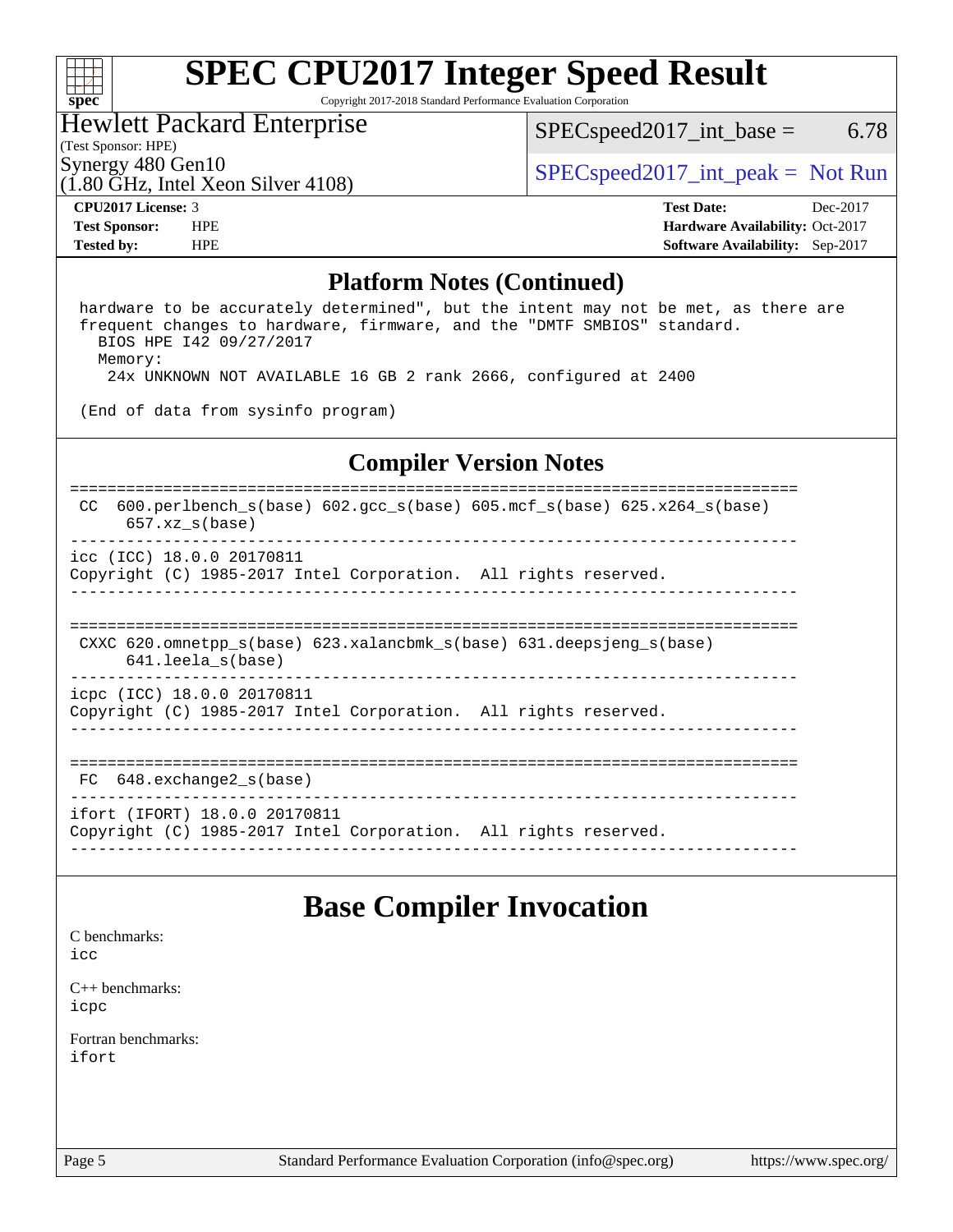### $\begin{matrix} & \ + \ + \end{matrix}$ **[spec](http://www.spec.org/)**

# **[SPEC CPU2017 Integer Speed Result](http://www.spec.org/auto/cpu2017/Docs/result-fields.html#SPECCPU2017IntegerSpeedResult)**

Copyright 2017-2018 Standard Performance Evaluation Corporation

## Hewlett Packard Enterprise

(1.80 GHz, Intel Xeon Silver 4108)

 $SPEC speed2017\_int\_base =$  6.78

(Test Sponsor: HPE)

Synergy 480 Gen10<br>  $SPEC speed2017\_int\_peak = Not Run$ 

**[CPU2017 License:](http://www.spec.org/auto/cpu2017/Docs/result-fields.html#CPU2017License)** 3 **[Test Date:](http://www.spec.org/auto/cpu2017/Docs/result-fields.html#TestDate)** Dec-2017 **[Test Sponsor:](http://www.spec.org/auto/cpu2017/Docs/result-fields.html#TestSponsor)** HPE **[Hardware Availability:](http://www.spec.org/auto/cpu2017/Docs/result-fields.html#HardwareAvailability)** Oct-2017 **[Tested by:](http://www.spec.org/auto/cpu2017/Docs/result-fields.html#Testedby)** HPE **[Software Availability:](http://www.spec.org/auto/cpu2017/Docs/result-fields.html#SoftwareAvailability)** Sep-2017

#### **[Platform Notes \(Continued\)](http://www.spec.org/auto/cpu2017/Docs/result-fields.html#PlatformNotes)**

 hardware to be accurately determined", but the intent may not be met, as there are frequent changes to hardware, firmware, and the "DMTF SMBIOS" standard. BIOS HPE I42 09/27/2017 Memory: 24x UNKNOWN NOT AVAILABLE 16 GB 2 rank 2666, configured at 2400 (End of data from sysinfo program) **[Compiler Version Notes](http://www.spec.org/auto/cpu2017/Docs/result-fields.html#CompilerVersionNotes)** ============================================================================== CC 600.perlbench\_s(base) 602.gcc\_s(base) 605.mcf\_s(base) 625.x264\_s(base) 657.xz\_s(base) ----------------------------------------------------------------------------- icc (ICC) 18.0.0 20170811

Copyright (C) 1985-2017 Intel Corporation. All rights reserved. ------------------------------------------------------------------------------

============================================================================== CXXC 620.omnetpp\_s(base) 623.xalancbmk\_s(base) 631.deepsjeng\_s(base)

641.leela\_s(base)

----------------------------------------------------------------------------- icpc (ICC) 18.0.0 20170811

Copyright (C) 1985-2017 Intel Corporation. All rights reserved. ------------------------------------------------------------------------------

============================================================================== FC 648.exchange2 s(base)

----------------------------------------------------------------------------- ifort (IFORT) 18.0.0 20170811

Copyright (C) 1985-2017 Intel Corporation. All rights reserved. ------------------------------------------------------------------------------

## **[Base Compiler Invocation](http://www.spec.org/auto/cpu2017/Docs/result-fields.html#BaseCompilerInvocation)**

[C benchmarks](http://www.spec.org/auto/cpu2017/Docs/result-fields.html#Cbenchmarks):

[icc](http://www.spec.org/cpu2017/results/res2018q1/cpu2017-20171212-01840.flags.html#user_CCbase_intel_icc_18.0_66fc1ee009f7361af1fbd72ca7dcefbb700085f36577c54f309893dd4ec40d12360134090235512931783d35fd58c0460139e722d5067c5574d8eaf2b3e37e92)

[C++ benchmarks:](http://www.spec.org/auto/cpu2017/Docs/result-fields.html#CXXbenchmarks) [icpc](http://www.spec.org/cpu2017/results/res2018q1/cpu2017-20171212-01840.flags.html#user_CXXbase_intel_icpc_18.0_c510b6838c7f56d33e37e94d029a35b4a7bccf4766a728ee175e80a419847e808290a9b78be685c44ab727ea267ec2f070ec5dc83b407c0218cded6866a35d07)

[Fortran benchmarks](http://www.spec.org/auto/cpu2017/Docs/result-fields.html#Fortranbenchmarks): [ifort](http://www.spec.org/cpu2017/results/res2018q1/cpu2017-20171212-01840.flags.html#user_FCbase_intel_ifort_18.0_8111460550e3ca792625aed983ce982f94888b8b503583aa7ba2b8303487b4d8a21a13e7191a45c5fd58ff318f48f9492884d4413fa793fd88dd292cad7027ca)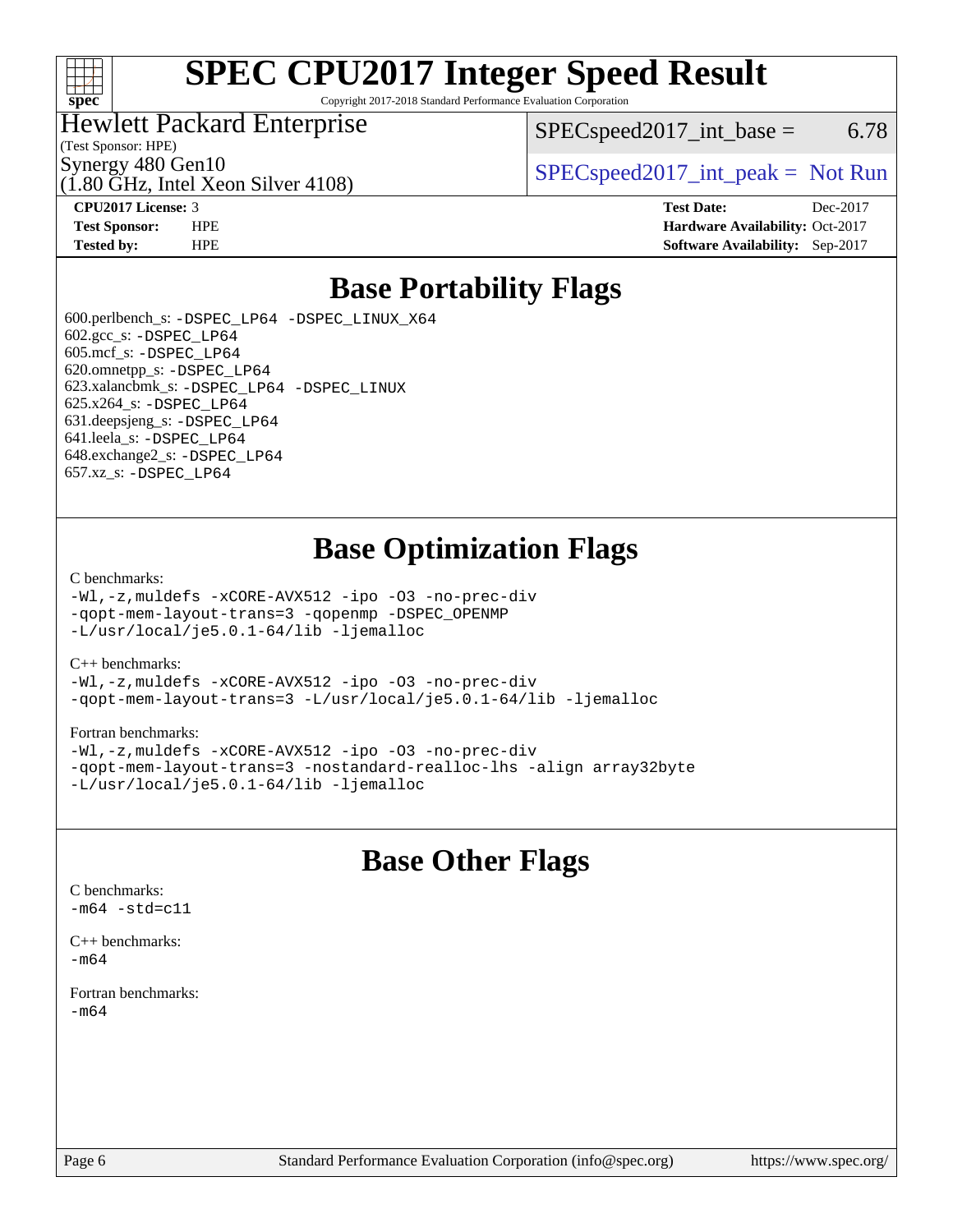

# **[SPEC CPU2017 Integer Speed Result](http://www.spec.org/auto/cpu2017/Docs/result-fields.html#SPECCPU2017IntegerSpeedResult)**

Copyright 2017-2018 Standard Performance Evaluation Corporation

### Hewlett Packard Enterprise

 $SPEC speed2017\_int\_base = 6.78$ 

(Test Sponsor: HPE)

(1.80 GHz, Intel Xeon Silver 4108)

Synergy 480 Gen10<br>  $SPEC speed2017\_int\_peak = Not Run$ 

**[CPU2017 License:](http://www.spec.org/auto/cpu2017/Docs/result-fields.html#CPU2017License)** 3 **[Test Date:](http://www.spec.org/auto/cpu2017/Docs/result-fields.html#TestDate)** Dec-2017 **[Test Sponsor:](http://www.spec.org/auto/cpu2017/Docs/result-fields.html#TestSponsor)** HPE **[Hardware Availability:](http://www.spec.org/auto/cpu2017/Docs/result-fields.html#HardwareAvailability)** Oct-2017 **[Tested by:](http://www.spec.org/auto/cpu2017/Docs/result-fields.html#Testedby)** HPE **[Software Availability:](http://www.spec.org/auto/cpu2017/Docs/result-fields.html#SoftwareAvailability)** Sep-2017

# **[Base Portability Flags](http://www.spec.org/auto/cpu2017/Docs/result-fields.html#BasePortabilityFlags)**

 600.perlbench\_s: [-DSPEC\\_LP64](http://www.spec.org/cpu2017/results/res2018q1/cpu2017-20171212-01840.flags.html#b600.perlbench_s_basePORTABILITY_DSPEC_LP64) [-DSPEC\\_LINUX\\_X64](http://www.spec.org/cpu2017/results/res2018q1/cpu2017-20171212-01840.flags.html#b600.perlbench_s_baseCPORTABILITY_DSPEC_LINUX_X64) 602.gcc\_s: [-DSPEC\\_LP64](http://www.spec.org/cpu2017/results/res2018q1/cpu2017-20171212-01840.flags.html#suite_basePORTABILITY602_gcc_s_DSPEC_LP64) 605.mcf\_s: [-DSPEC\\_LP64](http://www.spec.org/cpu2017/results/res2018q1/cpu2017-20171212-01840.flags.html#suite_basePORTABILITY605_mcf_s_DSPEC_LP64) 620.omnetpp\_s: [-DSPEC\\_LP64](http://www.spec.org/cpu2017/results/res2018q1/cpu2017-20171212-01840.flags.html#suite_basePORTABILITY620_omnetpp_s_DSPEC_LP64) 623.xalancbmk\_s: [-DSPEC\\_LP64](http://www.spec.org/cpu2017/results/res2018q1/cpu2017-20171212-01840.flags.html#suite_basePORTABILITY623_xalancbmk_s_DSPEC_LP64) [-DSPEC\\_LINUX](http://www.spec.org/cpu2017/results/res2018q1/cpu2017-20171212-01840.flags.html#b623.xalancbmk_s_baseCXXPORTABILITY_DSPEC_LINUX) 625.x264\_s: [-DSPEC\\_LP64](http://www.spec.org/cpu2017/results/res2018q1/cpu2017-20171212-01840.flags.html#suite_basePORTABILITY625_x264_s_DSPEC_LP64) 631.deepsjeng\_s: [-DSPEC\\_LP64](http://www.spec.org/cpu2017/results/res2018q1/cpu2017-20171212-01840.flags.html#suite_basePORTABILITY631_deepsjeng_s_DSPEC_LP64) 641.leela\_s: [-DSPEC\\_LP64](http://www.spec.org/cpu2017/results/res2018q1/cpu2017-20171212-01840.flags.html#suite_basePORTABILITY641_leela_s_DSPEC_LP64) 648.exchange2\_s: [-DSPEC\\_LP64](http://www.spec.org/cpu2017/results/res2018q1/cpu2017-20171212-01840.flags.html#suite_basePORTABILITY648_exchange2_s_DSPEC_LP64) 657.xz\_s: [-DSPEC\\_LP64](http://www.spec.org/cpu2017/results/res2018q1/cpu2017-20171212-01840.flags.html#suite_basePORTABILITY657_xz_s_DSPEC_LP64)

# **[Base Optimization Flags](http://www.spec.org/auto/cpu2017/Docs/result-fields.html#BaseOptimizationFlags)**

#### [C benchmarks](http://www.spec.org/auto/cpu2017/Docs/result-fields.html#Cbenchmarks):

[-Wl,-z,muldefs](http://www.spec.org/cpu2017/results/res2018q1/cpu2017-20171212-01840.flags.html#user_CCbase_link_force_multiple1_b4cbdb97b34bdee9ceefcfe54f4c8ea74255f0b02a4b23e853cdb0e18eb4525ac79b5a88067c842dd0ee6996c24547a27a4b99331201badda8798ef8a743f577) [-xCORE-AVX512](http://www.spec.org/cpu2017/results/res2018q1/cpu2017-20171212-01840.flags.html#user_CCbase_f-xCORE-AVX512) [-ipo](http://www.spec.org/cpu2017/results/res2018q1/cpu2017-20171212-01840.flags.html#user_CCbase_f-ipo) [-O3](http://www.spec.org/cpu2017/results/res2018q1/cpu2017-20171212-01840.flags.html#user_CCbase_f-O3) [-no-prec-div](http://www.spec.org/cpu2017/results/res2018q1/cpu2017-20171212-01840.flags.html#user_CCbase_f-no-prec-div) [-qopt-mem-layout-trans=3](http://www.spec.org/cpu2017/results/res2018q1/cpu2017-20171212-01840.flags.html#user_CCbase_f-qopt-mem-layout-trans_de80db37974c74b1f0e20d883f0b675c88c3b01e9d123adea9b28688d64333345fb62bc4a798493513fdb68f60282f9a726aa07f478b2f7113531aecce732043) [-qopenmp](http://www.spec.org/cpu2017/results/res2018q1/cpu2017-20171212-01840.flags.html#user_CCbase_qopenmp_16be0c44f24f464004c6784a7acb94aca937f053568ce72f94b139a11c7c168634a55f6653758ddd83bcf7b8463e8028bb0b48b77bcddc6b78d5d95bb1df2967) [-DSPEC\\_OPENMP](http://www.spec.org/cpu2017/results/res2018q1/cpu2017-20171212-01840.flags.html#suite_CCbase_DSPEC_OPENMP) [-L/usr/local/je5.0.1-64/lib](http://www.spec.org/cpu2017/results/res2018q1/cpu2017-20171212-01840.flags.html#user_CCbase_jemalloc_link_path64_4b10a636b7bce113509b17f3bd0d6226c5fb2346b9178c2d0232c14f04ab830f976640479e5c33dc2bcbbdad86ecfb6634cbbd4418746f06f368b512fced5394) [-ljemalloc](http://www.spec.org/cpu2017/results/res2018q1/cpu2017-20171212-01840.flags.html#user_CCbase_jemalloc_link_lib_d1249b907c500fa1c0672f44f562e3d0f79738ae9e3c4a9c376d49f265a04b9c99b167ecedbf6711b3085be911c67ff61f150a17b3472be731631ba4d0471706)

#### [C++ benchmarks:](http://www.spec.org/auto/cpu2017/Docs/result-fields.html#CXXbenchmarks)

[-Wl,-z,muldefs](http://www.spec.org/cpu2017/results/res2018q1/cpu2017-20171212-01840.flags.html#user_CXXbase_link_force_multiple1_b4cbdb97b34bdee9ceefcfe54f4c8ea74255f0b02a4b23e853cdb0e18eb4525ac79b5a88067c842dd0ee6996c24547a27a4b99331201badda8798ef8a743f577) [-xCORE-AVX512](http://www.spec.org/cpu2017/results/res2018q1/cpu2017-20171212-01840.flags.html#user_CXXbase_f-xCORE-AVX512) [-ipo](http://www.spec.org/cpu2017/results/res2018q1/cpu2017-20171212-01840.flags.html#user_CXXbase_f-ipo) [-O3](http://www.spec.org/cpu2017/results/res2018q1/cpu2017-20171212-01840.flags.html#user_CXXbase_f-O3) [-no-prec-div](http://www.spec.org/cpu2017/results/res2018q1/cpu2017-20171212-01840.flags.html#user_CXXbase_f-no-prec-div) [-qopt-mem-layout-trans=3](http://www.spec.org/cpu2017/results/res2018q1/cpu2017-20171212-01840.flags.html#user_CXXbase_f-qopt-mem-layout-trans_de80db37974c74b1f0e20d883f0b675c88c3b01e9d123adea9b28688d64333345fb62bc4a798493513fdb68f60282f9a726aa07f478b2f7113531aecce732043) [-L/usr/local/je5.0.1-64/lib](http://www.spec.org/cpu2017/results/res2018q1/cpu2017-20171212-01840.flags.html#user_CXXbase_jemalloc_link_path64_4b10a636b7bce113509b17f3bd0d6226c5fb2346b9178c2d0232c14f04ab830f976640479e5c33dc2bcbbdad86ecfb6634cbbd4418746f06f368b512fced5394) [-ljemalloc](http://www.spec.org/cpu2017/results/res2018q1/cpu2017-20171212-01840.flags.html#user_CXXbase_jemalloc_link_lib_d1249b907c500fa1c0672f44f562e3d0f79738ae9e3c4a9c376d49f265a04b9c99b167ecedbf6711b3085be911c67ff61f150a17b3472be731631ba4d0471706)

#### [Fortran benchmarks](http://www.spec.org/auto/cpu2017/Docs/result-fields.html#Fortranbenchmarks):

[-Wl,-z,muldefs](http://www.spec.org/cpu2017/results/res2018q1/cpu2017-20171212-01840.flags.html#user_FCbase_link_force_multiple1_b4cbdb97b34bdee9ceefcfe54f4c8ea74255f0b02a4b23e853cdb0e18eb4525ac79b5a88067c842dd0ee6996c24547a27a4b99331201badda8798ef8a743f577) [-xCORE-AVX512](http://www.spec.org/cpu2017/results/res2018q1/cpu2017-20171212-01840.flags.html#user_FCbase_f-xCORE-AVX512) [-ipo](http://www.spec.org/cpu2017/results/res2018q1/cpu2017-20171212-01840.flags.html#user_FCbase_f-ipo) [-O3](http://www.spec.org/cpu2017/results/res2018q1/cpu2017-20171212-01840.flags.html#user_FCbase_f-O3) [-no-prec-div](http://www.spec.org/cpu2017/results/res2018q1/cpu2017-20171212-01840.flags.html#user_FCbase_f-no-prec-div) [-qopt-mem-layout-trans=3](http://www.spec.org/cpu2017/results/res2018q1/cpu2017-20171212-01840.flags.html#user_FCbase_f-qopt-mem-layout-trans_de80db37974c74b1f0e20d883f0b675c88c3b01e9d123adea9b28688d64333345fb62bc4a798493513fdb68f60282f9a726aa07f478b2f7113531aecce732043) [-nostandard-realloc-lhs](http://www.spec.org/cpu2017/results/res2018q1/cpu2017-20171212-01840.flags.html#user_FCbase_f_2003_std_realloc_82b4557e90729c0f113870c07e44d33d6f5a304b4f63d4c15d2d0f1fab99f5daaed73bdb9275d9ae411527f28b936061aa8b9c8f2d63842963b95c9dd6426b8a) [-align array32byte](http://www.spec.org/cpu2017/results/res2018q1/cpu2017-20171212-01840.flags.html#user_FCbase_align_array32byte_b982fe038af199962ba9a80c053b8342c548c85b40b8e86eb3cc33dee0d7986a4af373ac2d51c3f7cf710a18d62fdce2948f201cd044323541f22fc0fffc51b6) [-L/usr/local/je5.0.1-64/lib](http://www.spec.org/cpu2017/results/res2018q1/cpu2017-20171212-01840.flags.html#user_FCbase_jemalloc_link_path64_4b10a636b7bce113509b17f3bd0d6226c5fb2346b9178c2d0232c14f04ab830f976640479e5c33dc2bcbbdad86ecfb6634cbbd4418746f06f368b512fced5394) [-ljemalloc](http://www.spec.org/cpu2017/results/res2018q1/cpu2017-20171212-01840.flags.html#user_FCbase_jemalloc_link_lib_d1249b907c500fa1c0672f44f562e3d0f79738ae9e3c4a9c376d49f265a04b9c99b167ecedbf6711b3085be911c67ff61f150a17b3472be731631ba4d0471706)

# **[Base Other Flags](http://www.spec.org/auto/cpu2017/Docs/result-fields.html#BaseOtherFlags)**

[C benchmarks](http://www.spec.org/auto/cpu2017/Docs/result-fields.html#Cbenchmarks):  $-m64 - std= c11$  $-m64 - std= c11$ [C++ benchmarks:](http://www.spec.org/auto/cpu2017/Docs/result-fields.html#CXXbenchmarks)

[-m64](http://www.spec.org/cpu2017/results/res2018q1/cpu2017-20171212-01840.flags.html#user_CXXbase_intel_intel64_18.0_af43caccfc8ded86e7699f2159af6efc7655f51387b94da716254467f3c01020a5059329e2569e4053f409e7c9202a7efc638f7a6d1ffb3f52dea4a3e31d82ab)

[Fortran benchmarks](http://www.spec.org/auto/cpu2017/Docs/result-fields.html#Fortranbenchmarks): [-m64](http://www.spec.org/cpu2017/results/res2018q1/cpu2017-20171212-01840.flags.html#user_FCbase_intel_intel64_18.0_af43caccfc8ded86e7699f2159af6efc7655f51387b94da716254467f3c01020a5059329e2569e4053f409e7c9202a7efc638f7a6d1ffb3f52dea4a3e31d82ab)